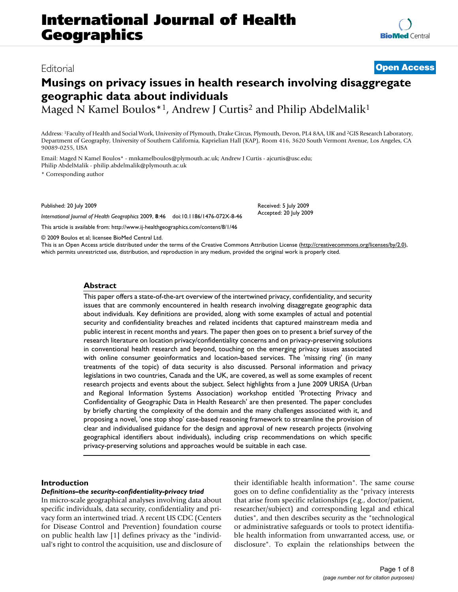# Editorial **[Open Access](http://www.biomedcentral.com/info/about/charter/)**

# **Musings on privacy issues in health research involving disaggregate geographic data about individuals**

Maged N Kamel Boulos<sup>\*1</sup>, Andrew J Curtis<sup>2</sup> and Philip AbdelMalik<sup>1</sup>

Address: 1Faculty of Health and Social Work, University of Plymouth, Drake Circus, Plymouth, Devon, PL4 8AA, UK and 2GIS Research Laboratory, Department of Geography, University of Southern California, Kaprielian Hall (KAP), Room 416, 3620 South Vermont Avenue, Los Angeles, CA 90089-0255, USA

Email: Maged N Kamel Boulos\* - mnkamelboulos@plymouth.ac.uk; Andrew J Curtis - ajcurtis@usc.edu; Philip AbdelMalik - philip.abdelmalik@plymouth.ac.uk

\* Corresponding author

Published: 20 July 2009

*International Journal of Health Geographics* 2009, **8**:46 doi:10.1186/1476-072X-8-46

[This article is available from: http://www.ij-healthgeographics.com/content/8/1/46](http://www.ij-healthgeographics.com/content/8/1/46)

© 2009 Boulos et al; licensee BioMed Central Ltd.

This is an Open Access article distributed under the terms of the Creative Commons Attribution License [\(http://creativecommons.org/licenses/by/2.0\)](http://creativecommons.org/licenses/by/2.0), which permits unrestricted use, distribution, and reproduction in any medium, provided the original work is properly cited.

#### **Abstract**

This paper offers a state-of-the-art overview of the intertwined privacy, confidentiality, and security issues that are commonly encountered in health research involving disaggregate geographic data about individuals. Key definitions are provided, along with some examples of actual and potential security and confidentiality breaches and related incidents that captured mainstream media and public interest in recent months and years. The paper then goes on to present a brief survey of the research literature on location privacy/confidentiality concerns and on privacy-preserving solutions in conventional health research and beyond, touching on the emerging privacy issues associated with online consumer geoinformatics and location-based services. The 'missing ring' (in many treatments of the topic) of data security is also discussed. Personal information and privacy legislations in two countries, Canada and the UK, are covered, as well as some examples of recent research projects and events about the subject. Select highlights from a June 2009 URISA (Urban and Regional Information Systems Association) workshop entitled 'Protecting Privacy and Confidentiality of Geographic Data in Health Research' are then presented. The paper concludes by briefly charting the complexity of the domain and the many challenges associated with it, and proposing a novel, 'one stop shop' case-based reasoning framework to streamline the provision of clear and individualised guidance for the design and approval of new research projects (involving geographical identifiers about individuals), including crisp recommendations on which specific privacy-preserving solutions and approaches would be suitable in each case.

#### **Introduction**

#### *Definitions–the security-confidentiality-privacy triad*

In micro-scale geographical analyses involving data about specific individuals, data security, confidentiality and privacy form an intertwined triad. A recent US CDC (Centers for Disease Control and Prevention) foundation course on public health law [1] defines privacy as the "individual's right to control the acquisition, use and disclosure of their identifiable health information". The same course goes on to define confidentiality as the "privacy interests that arise from specific relationships (e.g., doctor/patient, researcher/subject) and corresponding legal and ethical duties", and then describes security as the "technological or administrative safeguards or tools to protect identifiable health information from unwarranted access, use, or disclosure". To explain the relationships between the

Received: 5 July 2009 Accepted: 20 July 2009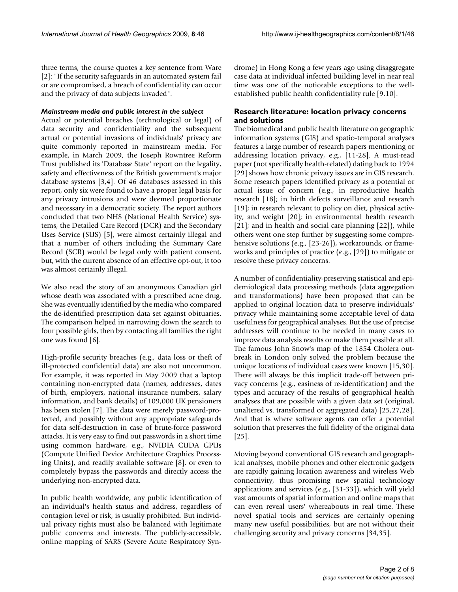three terms, the course quotes a key sentence from Ware [2]: "If the security safeguards in an automated system fail or are compromised, a breach of confidentiality can occur and the privacy of data subjects invaded".

#### *Mainstream media and public interest in the subject*

Actual or potential breaches (technological or legal) of data security and confidentiality and the subsequent actual or potential invasions of individuals' privacy are quite commonly reported in mainstream media. For example, in March 2009, the Joseph Rowntree Reform Trust published its 'Database State' report on the legality, safety and effectiveness of the British government's major database systems [3,4]. Of 46 databases assessed in this report, only six were found to have a proper legal basis for any privacy intrusions and were deemed proportionate and necessary in a democratic society. The report authors concluded that two NHS (National Health Service) systems, the Detailed Care Record (DCR) and the Secondary Uses Service (SUS) [5], were almost certainly illegal and that a number of others including the Summary Care Record (SCR) would be legal only with patient consent, but, with the current absence of an effective opt-out, it too was almost certainly illegal.

We also read the story of an anonymous Canadian girl whose death was associated with a prescribed acne drug. She was eventually identified by the media who compared the de-identified prescription data set against obituaries. The comparison helped in narrowing down the search to four possible girls, then by contacting all families the right one was found [6].

High-profile security breaches (e.g., data loss or theft of ill-protected confidential data) are also not uncommon. For example, it was reported in May 2009 that a laptop containing non-encrypted data (names, addresses, dates of birth, employers, national insurance numbers, salary information, and bank details) of 109,000 UK pensioners has been stolen [7]. The data were merely password-protected, and possibly without any appropriate safeguards for data self-destruction in case of brute-force password attacks. It is very easy to find out passwords in a short time using common hardware, e.g., NVIDIA CUDA GPUs (Compute Unified Device Architecture Graphics Processing Units), and readily available software [8], or even to completely bypass the passwords and directly access the underlying non-encrypted data.

In public health worldwide, any public identification of an individual's health status and address, regardless of contagion level or risk, is usually prohibited. But individual privacy rights must also be balanced with legitimate public concerns and interests. The publicly-accessible, online mapping of SARS (Severe Acute Respiratory Syndrome) in Hong Kong a few years ago using disaggregate case data at individual infected building level in near real time was one of the noticeable exceptions to the wellestablished public health confidentiality rule [9,10].

# **Research literature: location privacy concerns and solutions**

The biomedical and public health literature on geographic information systems (GIS) and spatio-temporal analyses features a large number of research papers mentioning or addressing location privacy, e.g., [11-28]. A must-read paper (not specifically health-related) dating back to 1994 [29] shows how chronic privacy issues are in GIS research. Some research papers identified privacy as a potential or actual issue of concern (e.g., in reproductive health research [18]; in birth defects surveillance and research [19]; in research relevant to policy on diet, physical activity, and weight [20]; in environmental health research [21]; and in health and social care planning [22]), while others went one step further by suggesting some comprehensive solutions (e.g., [23-26]), workarounds, or frameworks and principles of practice (e.g., [29]) to mitigate or resolve these privacy concerns.

A number of confidentiality-preserving statistical and epidemiological data processing methods (data aggregation and transformations) have been proposed that can be applied to original location data to preserve individuals' privacy while maintaining some acceptable level of data usefulness for geographical analyses. But the use of precise addresses will continue to be needed in many cases to improve data analysis results or make them possible at all. The famous John Snow's map of the 1854 Cholera outbreak in London only solved the problem because the unique locations of individual cases were known [15,30]. There will always be this implicit trade-off between privacy concerns (e.g., easiness of re-identification) and the types and accuracy of the results of geographical health analyses that are possible with a given data set (original, unaltered vs. transformed or aggregated data) [25,27,28]. And that is where software agents can offer a potential solution that preserves the full fidelity of the original data [25].

Moving beyond conventional GIS research and geographical analyses, mobile phones and other electronic gadgets are rapidly gaining location awareness and wireless Web connectivity, thus promising new spatial technology applications and services (e.g., [31-33]), which will yield vast amounts of spatial information and online maps that can even reveal users' whereabouts in real time. These novel spatial tools and services are certainly opening many new useful possibilities, but are not without their challenging security and privacy concerns [34,35].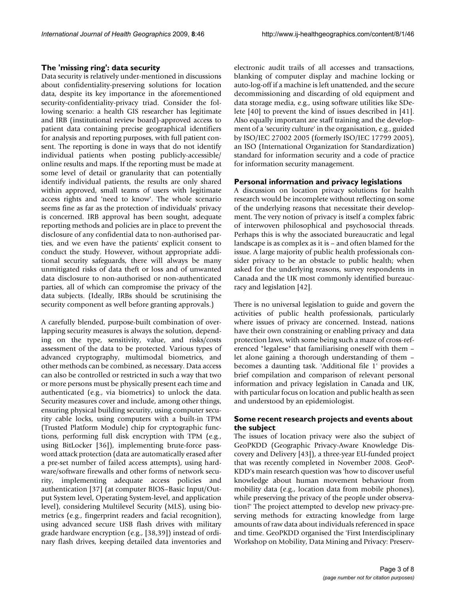# **The 'missing ring': data security**

Data security is relatively under-mentioned in discussions about confidentiality-preserving solutions for location data, despite its key importance in the aforementioned security-confidentiality-privacy triad. Consider the following scenario: a health GIS researcher has legitimate and IRB (institutional review board)-approved access to patient data containing precise geographical identifiers for analysis and reporting purposes, with full patient consent. The reporting is done in ways that do not identify individual patients when posting publicly-accessible/ online results and maps. If the reporting must be made at some level of detail or granularity that can potentially identify individual patients, the results are only shared within approved, small teams of users with legitimate access rights and 'need to know'. The whole scenario seems fine as far as the protection of individuals' privacy is concerned. IRB approval has been sought, adequate reporting methods and policies are in place to prevent the disclosure of any confidential data to non-authorised parties, and we even have the patients' explicit consent to conduct the study. However, without appropriate additional security safeguards, there will always be many unmitigated risks of data theft or loss and of unwanted data disclosure to non-authorised or non-authenticated parties, all of which can compromise the privacy of the data subjects. (Ideally, IRBs should be scrutinising the security component as well before granting approvals.)

A carefully blended, purpose-built combination of overlapping security measures is always the solution, depending on the type, sensitivity, value, and risks/costs assessment of the data to be protected. Various types of advanced cryptography, multimodal biometrics, and other methods can be combined, as necessary. Data access can also be controlled or restricted in such a way that two or more persons must be physically present each time and authenticated (e.g., via biometrics) to unlock the data. Security measures cover and include, among other things, ensuring physical building security, using computer security cable locks, using computers with a built-in TPM (Trusted Platform Module) chip for cryptographic functions, performing full disk encryption with TPM (e.g., using BitLocker [36]), implementing brute-force password attack protection (data are automatically erased after a pre-set number of failed access attempts), using hardware/software firewalls and other forms of network security, implementing adequate access policies and authentication [37] (at computer BIOS–Basic Input/Output System level, Operating System-level, and application level), considering Multilevel Security (MLS), using biometrics (e.g., fingerprint readers and facial recognition), using advanced secure USB flash drives with military grade hardware encryption (e.g., [38,39]) instead of ordinary flash drives, keeping detailed data inventories and

electronic audit trails of all accesses and transactions, blanking of computer display and machine locking or auto-log-off if a machine is left unattended, and the secure decommissioning and discarding of old equipment and data storage media, e.g., using software utilities like SDelete [40] to prevent the kind of issues described in [41]. Also equally important are staff training and the development of a 'security culture' in the organisation, e.g., guided by ISO/IEC 27002 2005 (formerly ISO/IEC 17799 2005), an ISO (International Organization for Standardization) standard for information security and a code of practice for information security management.

# **Personal information and privacy legislations**

A discussion on location privacy solutions for health research would be incomplete without reflecting on some of the underlying reasons that necessitate their development. The very notion of privacy is itself a complex fabric of interwoven philosophical and psychosocial threads. Perhaps this is why the associated bureaucratic and legal landscape is as complex as it is – and often blamed for the issue. A large majority of public health professionals consider privacy to be an obstacle to public health; when asked for the underlying reasons, survey respondents in Canada and the UK most commonly identified bureaucracy and legislation [42].

There is no universal legislation to guide and govern the activities of public health professionals, particularly where issues of privacy are concerned. Instead, nations have their own constraining or enabling privacy and data protection laws, with some being such a maze of cross-referenced "legalese" that familiarising oneself with them – let alone gaining a thorough understanding of them – becomes a daunting task. 'Additional file 1' provides a brief compilation and comparison of relevant personal information and privacy legislation in Canada and UK, with particular focus on location and public health as seen and understood by an epidemiologist.

# **Some recent research projects and events about the subject**

The issues of location privacy were also the subject of GeoPKDD (Geographic Privacy-Aware Knowledge Discovery and Delivery [43]), a three-year EU-funded project that was recently completed in November 2008. GeoP-KDD's main research question was 'how to discover useful knowledge about human movement behaviour from mobility data (e.g., location data from mobile phones), while preserving the privacy of the people under observation?' The project attempted to develop new privacy-preserving methods for extracting knowledge from large amounts of raw data about individuals referenced in space and time. GeoPKDD organised the 'First Interdisciplinary Workshop on Mobility, Data Mining and Privacy: Preserv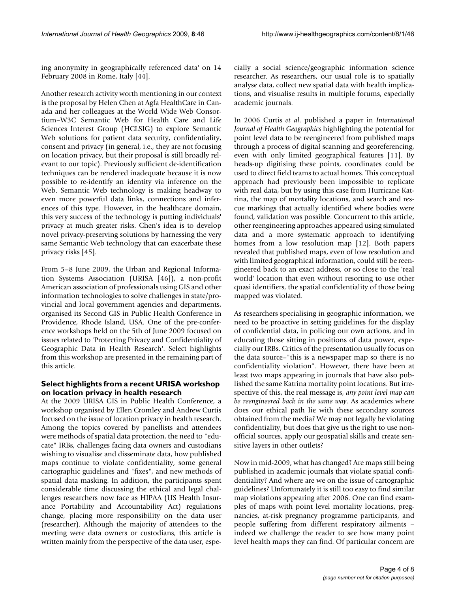ing anonymity in geographically referenced data' on 14 February 2008 in Rome, Italy [44].

Another research activity worth mentioning in our context is the proposal by Helen Chen at Agfa HealthCare in Canada and her colleagues at the World Wide Web Consortium–W3C Semantic Web for Health Care and Life Sciences Interest Group (HCLSIG) to explore Semantic Web solutions for patient data security, confidentiality, consent and privacy (in general, i.e., they are not focusing on location privacy, but their proposal is still broadly relevant to our topic). Previously sufficient de-identification techniques can be rendered inadequate because it is now possible to re-identify an identity via inference on the Web. Semantic Web technology is making headway to even more powerful data links, connections and inferences of this type. However, in the healthcare domain, this very success of the technology is putting individuals' privacy at much greater risks. Chen's idea is to develop novel privacy-preserving solutions by harnessing the very same Semantic Web technology that can exacerbate these privacy risks [45].

From 5–8 June 2009, the Urban and Regional Information Systems Association (URISA [46]), a non-profit American association of professionals using GIS and other information technologies to solve challenges in state/provincial and local government agencies and departments, organised its Second GIS in Public Health Conference in Providence, Rhode Island, USA. One of the pre-conference workshops held on the 5th of June 2009 focused on issues related to 'Protecting Privacy and Confidentiality of Geographic Data in Health Research'. Select highlights from this workshop are presented in the remaining part of this article.

# **Select highlights from a recent URISA workshop on location privacy in health research**

At the 2009 URISA GIS in Public Health Conference, a workshop organised by Ellen Cromley and Andrew Curtis focused on the issue of location privacy in health research. Among the topics covered by panellists and attendees were methods of spatial data protection, the need to "educate" IRBs, challenges facing data owners and custodians wishing to visualise and disseminate data, how published maps continue to violate confidentiality, some general cartographic guidelines and "fixes", and new methods of spatial data masking. In addition, the participants spent considerable time discussing the ethical and legal challenges researchers now face as HIPAA (US Health Insurance Portability and Accountability Act) regulations change, placing more responsibility on the data user (researcher). Although the majority of attendees to the meeting were data owners or custodians, this article is written mainly from the perspective of the data user, especially a social science/geographic information science researcher. As researchers, our usual role is to spatially analyse data, collect new spatial data with health implications, and visualise results in multiple forums, especially academic journals.

In 2006 Curtis *et al*. published a paper in *International Journal of Health Geographics* highlighting the potential for point level data to be reengineered from published maps through a process of digital scanning and georeferencing, even with only limited geographical features [11]. By heads-up digitising these points, coordinates could be used to direct field teams to actual homes. This conceptual approach had previously been impossible to replicate with real data, but by using this case from Hurricane Katrina, the map of mortality locations, and search and rescue markings that actually identified where bodies were found, validation was possible. Concurrent to this article, other reengineering approaches appeared using simulated data and a more systematic approach to identifying homes from a low resolution map [12]. Both papers revealed that published maps, even of low resolution and with limited geographical information, could still be reengineered back to an exact address, or so close to the 'real world' location that even without resorting to use other quasi identifiers, the spatial confidentiality of those being mapped was violated.

As researchers specialising in geographic information, we need to be proactive in setting guidelines for the display of confidential data, in policing our own actions, and in educating those sitting in positions of data power, especially our IRBs. Critics of the presentation usually focus on the data source–"this is a newspaper map so there is no confidentiality violation". However, there have been at least two maps appearing in journals that have also published the same Katrina mortality point locations. But irrespective of this, the real message is, *any point level map can be reengineered back in the same way*. As academics where does our ethical path lie with these secondary sources obtained from the media? We may not legally be violating confidentiality, but does that give us the right to use nonofficial sources, apply our geospatial skills and create sensitive layers in other outlets?

Now in mid-2009, what has changed? Are maps still being published in academic journals that violate spatial confidentiality? And where are we on the issue of cartographic guidelines? Unfortunately it is still too easy to find similar map violations appearing after 2006. One can find examples of maps with point level mortality locations, pregnancies, at-risk pregnancy programme participants, and people suffering from different respiratory ailments – indeed we challenge the reader to see how many point level health maps they can find. Of particular concern are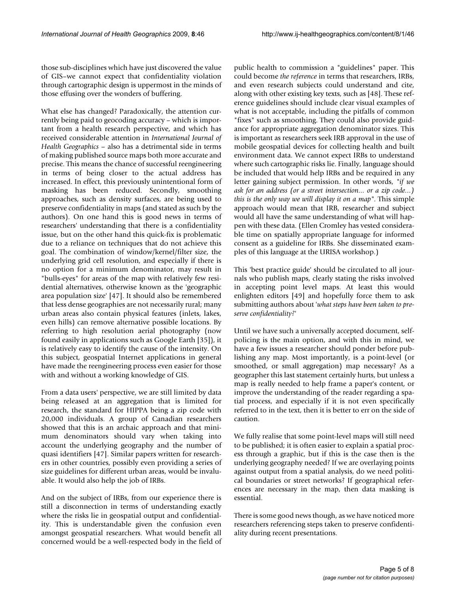those sub-disciplines which have just discovered the value of GIS–we cannot expect that confidentiality violation through cartographic design is uppermost in the minds of those effusing over the wonders of buffering.

What else has changed? Paradoxically, the attention currently being paid to geocoding accuracy – which is important from a health research perspective, and which has received considerable attention in *International Journal of Health Geographics* – also has a detrimental side in terms of making published source maps both more accurate and precise. This means the chance of successful reengineering in terms of being closer to the actual address has increased. In effect, this previously unintentional form of masking has been reduced. Secondly, smoothing approaches, such as density surfaces, are being used to preserve confidentiality in maps (and stated as such by the authors). On one hand this is good news in terms of researchers' understanding that there is a confidentiality issue, but on the other hand this quick-fix is problematic due to a reliance on techniques that do not achieve this goal. The combination of window/kernel/filter size, the underlying grid cell resolution, and especially if there is no option for a minimum denominator, may result in "bulls-eyes" for areas of the map with relatively few residential alternatives, otherwise known as the 'geographic area population size' [47]. It should also be remembered that less dense geographies are not necessarily rural; many urban areas also contain physical features (inlets, lakes, even hills) can remove alternative possible locations. By referring to high resolution aerial photography (now found easily in applications such as Google Earth [35]), it is relatively easy to identify the cause of the intensity. On this subject, geospatial Internet applications in general have made the reengineering process even easier for those with and without a working knowledge of GIS.

From a data users' perspective, we are still limited by data being released at an aggregation that is limited for research, the standard for HIPPA being a zip code with 20,000 individuals. A group of Canadian researchers showed that this is an archaic approach and that minimum denominators should vary when taking into account the underlying geography and the number of quasi identifiers [47]. Similar papers written for researchers in other countries, possibly even providing a series of size guidelines for different urban areas, would be invaluable. It would also help the job of IRBs.

And on the subject of IRBs, from our experience there is still a disconnection in terms of understanding exactly where the risks lie in geospatial output and confidentiality. This is understandable given the confusion even amongst geospatial researchers. What would benefit all concerned would be a well-respected body in the field of public health to commission a "guidelines" paper. This could become *the reference* in terms that researchers, IRBs, and even research subjects could understand and cite, along with other existing key texts, such as [48]. These reference guidelines should include clear visual examples of what is not acceptable, including the pitfalls of common "fixes" such as smoothing. They could also provide guidance for appropriate aggregation denominator sizes. This is important as researchers seek IRB approval in the use of mobile geospatial devices for collecting health and built environment data. We cannot expect IRBs to understand where such cartographic risks lie. Finally, language should be included that would help IRBs and be required in any letter gaining subject permission. In other words, *"if we ask for an address (or a street intersection... or a zip code...) this is the only way we will display it on a map"*. This simple approach would mean that IRB, researcher and subject would all have the same understanding of what will happen with these data. (Ellen Cromley has vested considerable time on spatially appropriate language for informed consent as a guideline for IRBs. She disseminated examples of this language at the URISA workshop.)

This 'best practice guide' should be circulated to all journals who publish maps, clearly stating the risks involved in accepting point level maps. At least this would enlighten editors [49] and hopefully force them to ask submitting authors about '*what steps have been taken to preserve confidentiality?*'

Until we have such a universally accepted document, selfpolicing is the main option, and with this in mind, we have a few issues a researcher should ponder before publishing any map. Most importantly, is a point-level (or smoothed, or small aggregation) map necessary? As a geographer this last statement certainly hurts, but unless a map is really needed to help frame a paper's content, or improve the understanding of the reader regarding a spatial process, and especially if it is not even specifically referred to in the text, then it is better to err on the side of caution.

We fully realise that some point-level maps will still need to be published; it is often easier to explain a spatial process through a graphic, but if this is the case then is the underlying geography needed? If we are overlaying points against output from a spatial analysis, do we need political boundaries or street networks? If geographical references are necessary in the map, then data masking is essential.

There is some good news though, as we have noticed more researchers referencing steps taken to preserve confidentiality during recent presentations.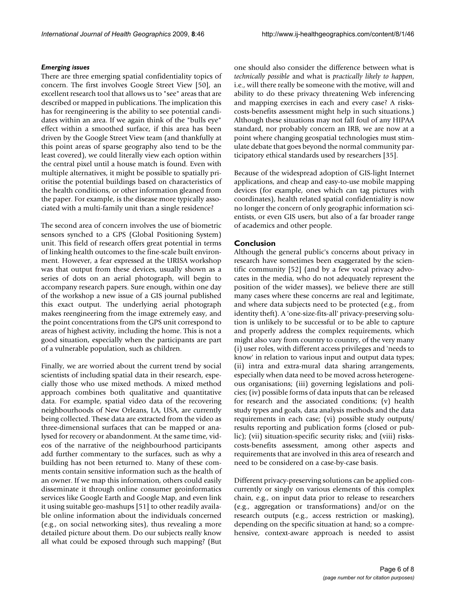#### *Emerging issues*

There are three emerging spatial confidentiality topics of concern. The first involves Google Street View [50], an excellent research tool that allows us to "see" areas that are described or mapped in publications. The implication this has for reengineering is the ability to see potential candidates within an area. If we again think of the "bulls eye" effect within a smoothed surface, if this area has been driven by the Google Street View team (and thankfully at this point areas of sparse geography also tend to be the least covered), we could literally view each option within the central pixel until a house match is found. Even with multiple alternatives, it might be possible to spatially prioritise the potential buildings based on characteristics of the health conditions, or other information gleaned from the paper. For example, is the disease more typically associated with a multi-family unit than a single residence?

The second area of concern involves the use of biometric sensors synched to a GPS (Global Positioning System) unit. This field of research offers great potential in terms of linking health outcomes to the fine-scale built environment. However, a fear expressed at the URISA workshop was that output from these devices, usually shown as a series of dots on an aerial photograph, will begin to accompany research papers. Sure enough, within one day of the workshop a new issue of a GIS journal published this exact output. The underlying aerial photograph makes reengineering from the image extremely easy, and the point concentrations from the GPS unit correspond to areas of highest activity, including the home. This is not a good situation, especially when the participants are part of a vulnerable population, such as children.

Finally, we are worried about the current trend by social scientists of including spatial data in their research, especially those who use mixed methods. A mixed method approach combines both qualitative and quantitative data. For example, spatial video data of the recovering neighbourhoods of New Orleans, LA, USA, are currently being collected. These data are extracted from the video as three-dimensional surfaces that can be mapped or analysed for recovery or abandonment. At the same time, videos of the narrative of the neighbourhood participants add further commentary to the surfaces, such as why a building has not been returned to. Many of these comments contain sensitive information such as the health of an owner. If we map this information, others could easily disseminate it through online consumer geoinformatics services like Google Earth and Google Map, and even link it using suitable geo-mashups [51] to other readily available online information about the individuals concerned (e.g., on social networking sites), thus revealing a more detailed picture about them. Do our subjects really know all what could be exposed through such mapping? (But one should also consider the difference between what is *technically possible* and what is *practically likely to happen*, i.e., will there really be someone with the motive, will and ability to do these privacy threatening Web inferencing and mapping exercises in each and every case? A riskscosts-benefits assessment might help in such situations.) Although these situations may not fall foul of any HIPAA standard, nor probably concern an IRB, we are now at a point where changing geospatial technologies must stimulate debate that goes beyond the normal community participatory ethical standards used by researchers [35].

Because of the widespread adoption of GIS-light Internet applications, and cheap and easy-to-use mobile mapping devices (for example, ones which can tag pictures with coordinates), health related spatial confidentiality is now no longer the concern of only geographic information scientists, or even GIS users, but also of a far broader range of academics and other people.

# **Conclusion**

Although the general public's concerns about privacy in research have sometimes been exaggerated by the scientific community [52] (and by a few vocal privacy advocates in the media, who do not adequately represent the position of the wider masses), we believe there are still many cases where these concerns are real and legitimate, and where data subjects need to be protected (e.g., from identity theft). A 'one-size-fits-all' privacy-preserving solution is unlikely to be successful or to be able to capture and properly address the complex requirements, which might also vary from country to country, of the very many (i) user roles, with different access privileges and 'needs to know' in relation to various input and output data types; (ii) intra and extra-mural data sharing arrangements, especially when data need to be moved across heterogeneous organisations; (iii) governing legislations and policies; (iv) possible forms of data inputs that can be released for research and the associated conditions; (v) health study types and goals, data analysis methods and the data requirements in each case; (vi) possible study outputs/ results reporting and publication forms (closed or public); (vii) situation-specific security risks; and (viii) riskscosts-benefits assessment, among other aspects and requirements that are involved in this area of research and need to be considered on a case-by-case basis.

Different privacy-preserving solutions can be applied concurrently or singly on various elements of this complex chain, e.g., on input data prior to release to researchers (e.g., aggregation or transformations) and/or on the research outputs (e.g., access restriction or masking), depending on the specific situation at hand; so a comprehensive, context-aware approach is needed to assist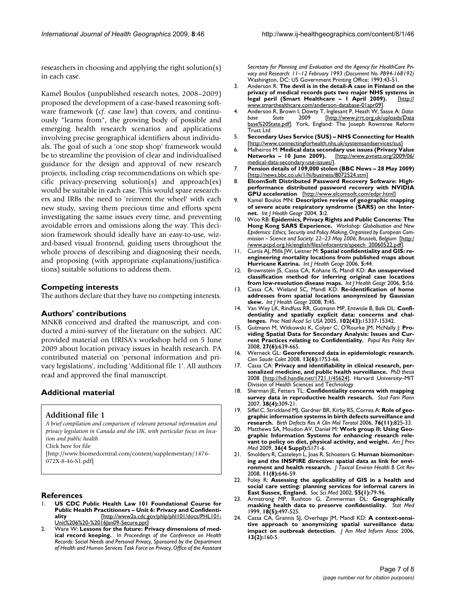researchers in choosing and applying the right solution(s) in each case.

Kamel Boulos (unpublished research notes, 2008–2009) proposed the development of a case-based reasoning software framework (*cf*. case law) that covers, and continuously "learns from", the growing body of possible and emerging health research scenarios and applications involving precise geographical identifiers about individuals. The goal of such a 'one stop shop' framework would be to streamline the provision of clear and individualised guidance for the design and approval of new research projects, including crisp recommendations on which specific privacy-preserving solution(s) and approach(es) would be suitable in each case. This would spare researchers and IRBs the need to 'reinvent the wheel' with each new study, saving them precious time and efforts spent investigating the same issues every time, and preventing avoidable errors and omissions along the way. This decision framework should ideally have an easy-to-use, wizard-based visual frontend, guiding users throughout the whole process of describing and diagnosing their needs, and proposing (with appropriate explanations/justifications) suitable solutions to address them.

# **Competing interests**

The authors declare that they have no competing interests.

#### **Authors' contributions**

MNKB conceived and drafted the manuscript, and conducted a mini-survey of the literature on the subject. AJC provided material on URISA's workshop held on 5 June 2009 about location privacy issues in health research. PA contributed material on 'personal information and privacy legislations', including 'Additional file 1'. All authors read and approved the final manuscript.

# **Additional material**

#### **Additional file 1**

*A brief compilation and comparison of relevant personal information and privacy legislation in Canada and the UK, with particular focus on location and public health*

Click here for file

[\[http://www.biomedcentral.com/content/supplementary/1476-](http://www.biomedcentral.com/content/supplementary/1476-072X-8-46-S1.pdf) 072X-8-46-S1.pdf]

#### **References**

- 1. **US CDC Public Health Law 101 Foundational Course for Public Health Practitioners – Unit 6: Privacy and Confidentiality** [[http://www2a.cdc.gov/phlp/phl101/docs/PHL101-](http://www2a.cdc.gov/phlp/phl101/docs/PHL101-Unit%206%20-%2016Jan09-Secure.ppt) [Unit%206%20-%2016Jan09-Secure.ppt](http://www2a.cdc.gov/phlp/phl101/docs/PHL101-Unit%206%20-%2016Jan09-Secure.ppt)]
- 2. Ware W: **Lessons for the future: Privacy dimensions of medical record keeping.** In *Proceedings of the Conference on Health Records: Social Needs and Personal Privacy, Sponsored by the Department of Health and Human Services Task Force on Privacy, Office of the Assistant*

*Secretary for Planning and Evaluation and the Agency for HealthCare Privacy and Research: 11–12 February 1993 (Document No. PB94-168192)* Washington, DC: US Government Printing Office; 1993:43-51.

- 3. Anderson R: **The devil is in the detail-A case in Finland on the privacy of medical records puts two major NHS systems in legal peril (Smart Healthcare – 1 April 2009).** [\[http://](http://www.smarthealthcare.com/anderson-database-01apr09) [www.smarthealthcare.com/anderson-database-01apr09\]](http://www.smarthealthcare.com/anderson-database-01apr09).
- 4. Anderson R, Brown I, Dowty T, Inglesant P, Heath W, Sasse A: *Database State* 2009 [[http://www.jrrt.org.uk/uploads/Data](http://www.jrrt.org.uk/uploads/Database%20State.pdf) [base%20State.pdf\]](http://www.jrrt.org.uk/uploads/Database%20State.pdf). York, England: The Joseph Rowntree Reform Trust Ltd
- 5. **Secondary Uses Service (SUS) NHS Connecting for Health** [<http://www.connectingforhealth.nhs.uk/systemsandservices/sus>]
- 6. Malheiros M: **Medical data secondary use issues (Privacy Value** [[http://www.pvnets.org/2009/06/](http://www.pvnets.org/2009/06/medical-data-secondary-use-issues/) [medical-data-secondary-use-issues/](http://www.pvnets.org/2009/06/medical-data-secondary-use-issues/)].
- 7. **Pension details of 109,000 stolen (BBC News 28 May 2009)** [[http://news.bbc.co.uk/1/hi/business/8072524.stm\]](http://news.bbc.co.uk/1/hi/business/8072524.stm)
- 8. **ElcomSoft Distributed Password Recovery Software: Highperformance distributed password recovery with NVIDIA GPU acceleration** [[http://www.elcomsoft.com/edpr.html\]](http://www.elcomsoft.com/edpr.html)
- 9. Kamel Boulos MN: **[Descriptive review of geographic mapping](http://www.ncbi.nlm.nih.gov/entrez/query.fcgi?cmd=Retrieve&db=PubMed&dopt=Abstract&list_uids=14748926) [of severe acute respiratory syndrome \(SARS\) on the Inter](http://www.ncbi.nlm.nih.gov/entrez/query.fcgi?cmd=Retrieve&db=PubMed&dopt=Abstract&list_uids=14748926)[net.](http://www.ncbi.nlm.nih.gov/entrez/query.fcgi?cmd=Retrieve&db=PubMed&dopt=Abstract&list_uids=14748926)** *Int J Health Geogr* 2004, **3:**2.
- 10. Woo RB: **Epidemics, Privacy Rights and Public Concerns: The Hong Kong SARS Experience.** *Workshop: Globalisation and New Epidemics: Ethics, Security and Policy Making, Organised by European Commission – Science and Society: 22–23 May 2006; Brussels, Belgium* [[http:/](http://www.pcpd.org.hk/english/files/infocentre/speech_20060522.pdf) [/www.pcpd.org.hk/english/files/infocentre/speech\\_20060522.pdf\]](http://www.pcpd.org.hk/english/files/infocentre/speech_20060522.pdf).
- 11. Curtis AJ, Mills JW, Leitner M: **[Spatial confidentiality and GIS: re](http://www.ncbi.nlm.nih.gov/entrez/query.fcgi?cmd=Retrieve&db=PubMed&dopt=Abstract&list_uids=17032448)[engineering mortality locations from published maps about](http://www.ncbi.nlm.nih.gov/entrez/query.fcgi?cmd=Retrieve&db=PubMed&dopt=Abstract&list_uids=17032448) [Hurricane Katrina.](http://www.ncbi.nlm.nih.gov/entrez/query.fcgi?cmd=Retrieve&db=PubMed&dopt=Abstract&list_uids=17032448)** *Int J Health Geogr* 2006, **5:**44.
- 12. Brownstein JS, Cassa CA, Kohane IS, Mandl KD: **[An unsupervised](http://www.ncbi.nlm.nih.gov/entrez/query.fcgi?cmd=Retrieve&db=PubMed&dopt=Abstract&list_uids=17156451) [classification method for inferring original case locations](http://www.ncbi.nlm.nih.gov/entrez/query.fcgi?cmd=Retrieve&db=PubMed&dopt=Abstract&list_uids=17156451) [from low-resolution disease maps.](http://www.ncbi.nlm.nih.gov/entrez/query.fcgi?cmd=Retrieve&db=PubMed&dopt=Abstract&list_uids=17156451)** *Int J Health Geogr* 2006, **5:**56.
- 13. Cassa CA, Wieland SC, Mandl KD: **[Re-identification of home](http://www.ncbi.nlm.nih.gov/entrez/query.fcgi?cmd=Retrieve&db=PubMed&dopt=Abstract&list_uids=18700031) [addresses from spatial locations anonymized by Gaussian](http://www.ncbi.nlm.nih.gov/entrez/query.fcgi?cmd=Retrieve&db=PubMed&dopt=Abstract&list_uids=18700031) [skew.](http://www.ncbi.nlm.nih.gov/entrez/query.fcgi?cmd=Retrieve&db=PubMed&dopt=Abstract&list_uids=18700031)** *Int J Health Geogr* 2008, **7:**45.
- 14. Van Wey LK, Rindfuss RR, Gutmann MP, Entwisle B, Balk DL: **[Confi](http://www.ncbi.nlm.nih.gov/entrez/query.fcgi?cmd=Retrieve&db=PubMed&dopt=Abstract&list_uids=16230608)[dentiality and spatially explicit data: concerns and chal](http://www.ncbi.nlm.nih.gov/entrez/query.fcgi?cmd=Retrieve&db=PubMed&dopt=Abstract&list_uids=16230608)[lenges.](http://www.ncbi.nlm.nih.gov/entrez/query.fcgi?cmd=Retrieve&db=PubMed&dopt=Abstract&list_uids=16230608)** *Proc Natl Acad Sci USA* 2005, **102(43):**15337-15342.
- 15. Gutmann M, Witkowski K, Colyer C, O'Rourke JM, McNally J: **[Pro](http://www.ncbi.nlm.nih.gov/entrez/query.fcgi?cmd=Retrieve&db=PubMed&dopt=Abstract&list_uids=19122860)[viding Spatial Data for Secondary Analysis: Issues and Cur](http://www.ncbi.nlm.nih.gov/entrez/query.fcgi?cmd=Retrieve&db=PubMed&dopt=Abstract&list_uids=19122860)[rent Practices relating to Confidentiality.](http://www.ncbi.nlm.nih.gov/entrez/query.fcgi?cmd=Retrieve&db=PubMed&dopt=Abstract&list_uids=19122860)** *Popul Res Policy Rev* 2008, **27(6):**639-665.
- 16. Werneck GL: **[Georeferenced data in epidemiologic research.](http://www.ncbi.nlm.nih.gov/entrez/query.fcgi?cmd=Retrieve&db=PubMed&dopt=Abstract&list_uids=18833352)** *Cien Saude Colet* 2008, **13(6):**1753-66.
- 17. Cassa CA: **Privacy and identifiability in clinical research, personalized medicine, and public health surveillance.** *PhD thesis* 2008 [[http://hdl.handle.net/1721.1/45624\]](http://hdl.handle.net/1721.1/45624). Harvard University-MIT Division of Health Sciences and Technology
- 18. Sherman JE, Fetters TL: **[Confidentiality concerns with mapping](http://www.ncbi.nlm.nih.gov/entrez/query.fcgi?cmd=Retrieve&db=PubMed&dopt=Abstract&list_uids=18284045) [survey data in reproductive health research.](http://www.ncbi.nlm.nih.gov/entrez/query.fcgi?cmd=Retrieve&db=PubMed&dopt=Abstract&list_uids=18284045)** *Stud Fam Plann* 2007, **38(4):**309-21.
- 19. Siffel C, Strickland MJ, Gardner BR, Kirby RS, Correa A: **[Role of geo](http://www.ncbi.nlm.nih.gov/entrez/query.fcgi?cmd=Retrieve&db=PubMed&dopt=Abstract&list_uids=17094141)[graphic information systems in birth defects surveillance and](http://www.ncbi.nlm.nih.gov/entrez/query.fcgi?cmd=Retrieve&db=PubMed&dopt=Abstract&list_uids=17094141) [research.](http://www.ncbi.nlm.nih.gov/entrez/query.fcgi?cmd=Retrieve&db=PubMed&dopt=Abstract&list_uids=17094141)** *Birth Defects Res A Clin Mol Teratol* 2006, **76(11):**825-33.
- 20. Matthews SA, Moudon AV, Daniel M: **[Work group II: Using Geo](http://www.ncbi.nlm.nih.gov/entrez/query.fcgi?cmd=Retrieve&db=PubMed&dopt=Abstract&list_uids=19285210)[graphic Information Systems for enhancing research rele](http://www.ncbi.nlm.nih.gov/entrez/query.fcgi?cmd=Retrieve&db=PubMed&dopt=Abstract&list_uids=19285210)[vant to policy on diet, physical activity, and weight.](http://www.ncbi.nlm.nih.gov/entrez/query.fcgi?cmd=Retrieve&db=PubMed&dopt=Abstract&list_uids=19285210)** *Am J Prev Med* 2009, **36(4 Suppl):**S171-6.
- 21. Smolders R, Casteleyn L, Joas R, Schoeters G: **[Human biomonitor](http://www.ncbi.nlm.nih.gov/entrez/query.fcgi?cmd=Retrieve&db=PubMed&dopt=Abstract&list_uids=18821423)[ing and the INSPIRE directive: spatial data as link for envi](http://www.ncbi.nlm.nih.gov/entrez/query.fcgi?cmd=Retrieve&db=PubMed&dopt=Abstract&list_uids=18821423)[ronment and health research.](http://www.ncbi.nlm.nih.gov/entrez/query.fcgi?cmd=Retrieve&db=PubMed&dopt=Abstract&list_uids=18821423)** *J Toxicol Environ Health B Crit Rev* 2008, **11(8):**646-59.
- 22. Foley R: **[Assessing the applicability of GIS in a health and](http://www.ncbi.nlm.nih.gov/entrez/query.fcgi?cmd=Retrieve&db=PubMed&dopt=Abstract&list_uids=12137191) [social care setting: planning services for informal carers in](http://www.ncbi.nlm.nih.gov/entrez/query.fcgi?cmd=Retrieve&db=PubMed&dopt=Abstract&list_uids=12137191) [East Sussex, England.](http://www.ncbi.nlm.nih.gov/entrez/query.fcgi?cmd=Retrieve&db=PubMed&dopt=Abstract&list_uids=12137191)** *Soc Sci Med* 2002, **55(1):**79-96.
- 23. Armstrong MP, Rushton G, Zimmerman DL: **[Geographically](http://www.ncbi.nlm.nih.gov/entrez/query.fcgi?cmd=Retrieve&db=PubMed&dopt=Abstract&list_uids=10209808) [masking health data to preserve confidentiality.](http://www.ncbi.nlm.nih.gov/entrez/query.fcgi?cmd=Retrieve&db=PubMed&dopt=Abstract&list_uids=10209808)** *Stat Med* 1999, **18(5):**497-525.
- 24. Cassa CA, Grannis SJ, Overhage JM, Mandl KD: **[A context-sensi](http://www.ncbi.nlm.nih.gov/entrez/query.fcgi?cmd=Retrieve&db=PubMed&dopt=Abstract&list_uids=16357353)[tive approach to anonymizing spatial surveillance data:](http://www.ncbi.nlm.nih.gov/entrez/query.fcgi?cmd=Retrieve&db=PubMed&dopt=Abstract&list_uids=16357353) [impact on outbreak detection.](http://www.ncbi.nlm.nih.gov/entrez/query.fcgi?cmd=Retrieve&db=PubMed&dopt=Abstract&list_uids=16357353)** *J Am Med Inform Assoc* 2006, **13(2):**160-5.